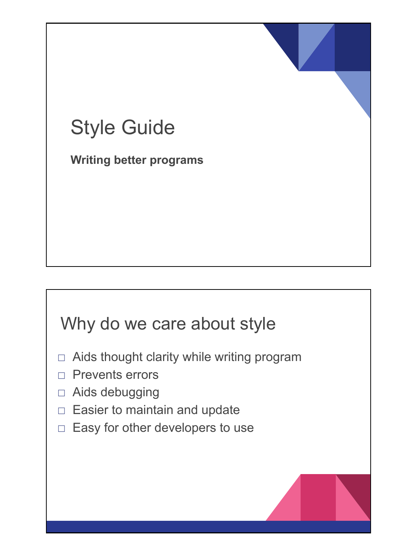## Style Guide

**Writing better programs**

#### Why do we care about style

- $\Box$  Aids thought clarity while writing program
- □ Prevents errors
- □ Aids debugging
- □ Easier to maintain and update
- $\Box$  Easy for other developers to use

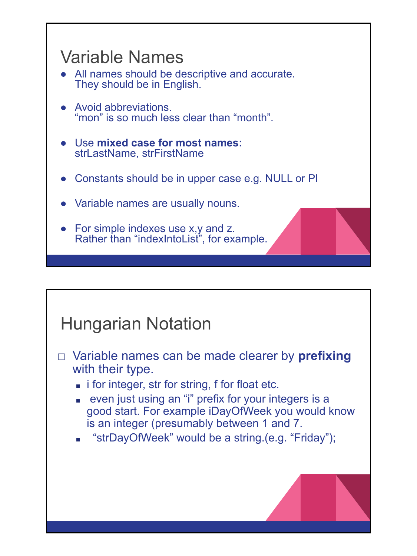

# Hungarian Notation □ Variable names can be made clearer by **prefixing**  with their type. ■ i for integer, str for string, f for float etc. ■ even just using an "i" prefix for your integers is a good start. For example iDayOfWeek you would know is an integer (presumably between 1 and 7. "strDayOfWeek" would be a string.(e.g. "Friday");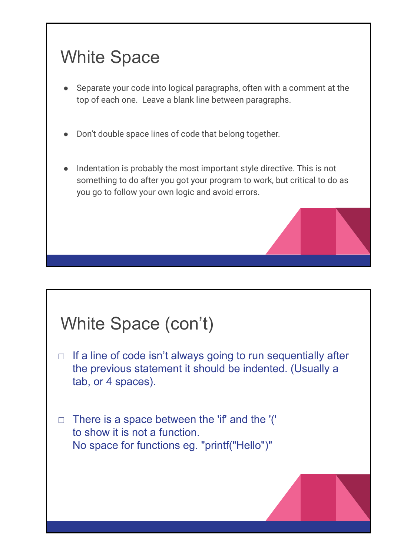## White Space

- Separate your code into logical paragraphs, often with a comment at the top of each one. Leave a blank line between paragraphs.
- Don't double space lines of code that belong together.
- Indentation is probably the most important style directive. This is not something to do after you got your program to work, but critical to do as you go to follow your own logic and avoid errors.

## White Space (con't)

- $\Box$  If a line of code isn't always going to run sequentially after the previous statement it should be indented. (Usually a tab, or 4 spaces).
- $\Box$  There is a space between the 'if' and the '(' to show it is not a function. No space for functions eg. "printf("Hello")"

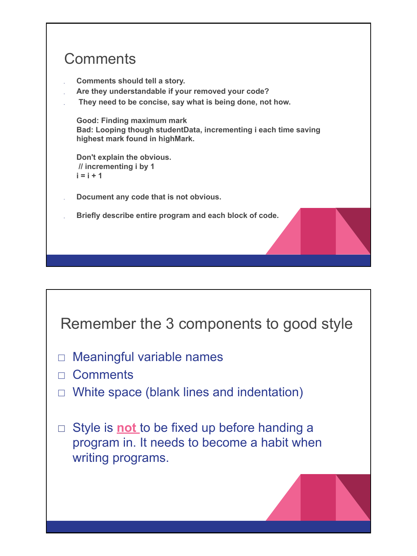